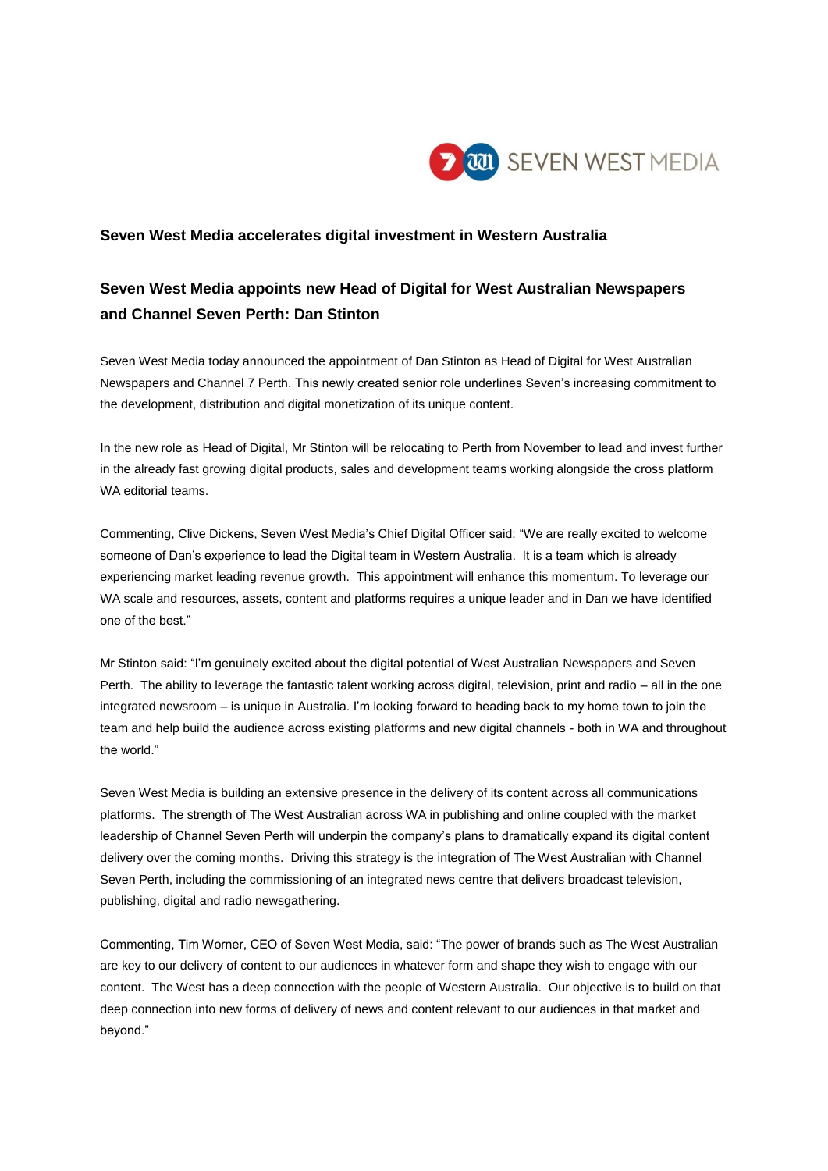

## **Seven West Media accelerates digital investment in Western Australia**

## **Seven West Media appoints new Head of Digital for West Australian Newspapers and Channel Seven Perth: Dan Stinton**

Seven West Media today announced the appointment of Dan Stinton as Head of Digital for West Australian Newspapers and Channel 7 Perth. This newly created senior role underlines Seven's increasing commitment to the development, distribution and digital monetization of its unique content.

In the new role as Head of Digital, Mr Stinton will be relocating to Perth from November to lead and invest further in the already fast growing digital products, sales and development teams working alongside the cross platform WA editorial teams.

Commenting, Clive Dickens, Seven West Media's Chief Digital Officer said: "We are really excited to welcome someone of Dan's experience to lead the Digital team in Western Australia. It is a team which is already experiencing market leading revenue growth. This appointment will enhance this momentum. To leverage our WA scale and resources, assets, content and platforms requires a unique leader and in Dan we have identified one of the best."

Mr Stinton said: "I'm genuinely excited about the digital potential of West Australian Newspapers and Seven Perth. The ability to leverage the fantastic talent working across digital, television, print and radio – all in the one integrated newsroom – is unique in Australia. I'm looking forward to heading back to my home town to join the team and help build the audience across existing platforms and new digital channels - both in WA and throughout the world."

Seven West Media is building an extensive presence in the delivery of its content across all communications platforms. The strength of The West Australian across WA in publishing and online coupled with the market leadership of Channel Seven Perth will underpin the company's plans to dramatically expand its digital content delivery over the coming months. Driving this strategy is the integration of The West Australian with Channel Seven Perth, including the commissioning of an integrated news centre that delivers broadcast television, publishing, digital and radio newsgathering.

Commenting, Tim Worner, CEO of Seven West Media, said: "The power of brands such as The West Australian are key to our delivery of content to our audiences in whatever form and shape they wish to engage with our content. The West has a deep connection with the people of Western Australia. Our objective is to build on that deep connection into new forms of delivery of news and content relevant to our audiences in that market and beyond."